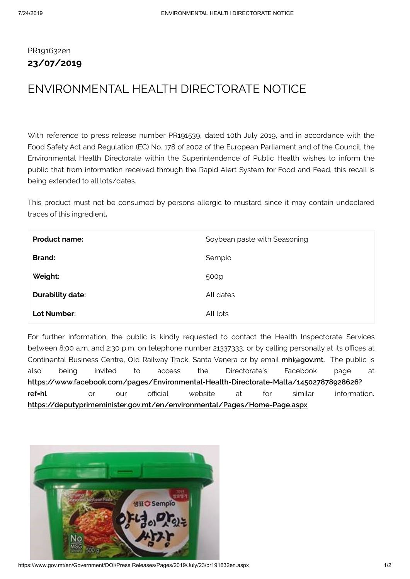## PR191632en **23/07/2019**

## ENVIRONMENTAL HEALTH DIRECTORATE NOTICE

With reference to press release number PR191539, dated 10th July 2019, and in accordance with the Food Safety Act and Regulation (EC) No. 178 of 2002 of the European Parliament and of the Council, the Environmental Health Directorate within the Superintendence of Public Health wishes to inform the public that from information received through the Rapid Alert System for Food and Feed, this recall is being extended to all lots/dates.

This product must not be consumed by persons allergic to mustard since it may contain undeclared traces of this ingredient**.**

| <b>Product name:</b>    | Soybean paste with Seasoning |
|-------------------------|------------------------------|
| <b>Brand:</b>           | Sempio                       |
| Weight:                 | 500g                         |
| <b>Durability date:</b> | All dates                    |
| Lot Number:             | All lots                     |

For further information, the public is kindly requested to contact the Health Inspectorate Services between 8:00 a.m. and 2:30 p.m. on telephone number 21337333, or by calling personally at its offices at Continental Business Centre, Old Railway Track, Santa Venera or by email **[mhi@gov.mt](mailto:mhi@gov.mt)**. The public is also being invited to access the Directorate's Facebook page at **[https://www.facebook.com/pages/Environmental-Health-Directorate-Malta/145027878928626?](https://www.facebook.com/pages/Environmental-Health-Directorate-Malta/145027878928626?ref=hl) ref=hl** or our official website at for similar information. **<https://deputyprimeminister.gov.mt/en/environmental/Pages/Home-Page.aspx>**



https://www.gov.mt/en/Government/DOI/Press Releases/Pages/2019/July/23/pr191632en.aspx 1/2